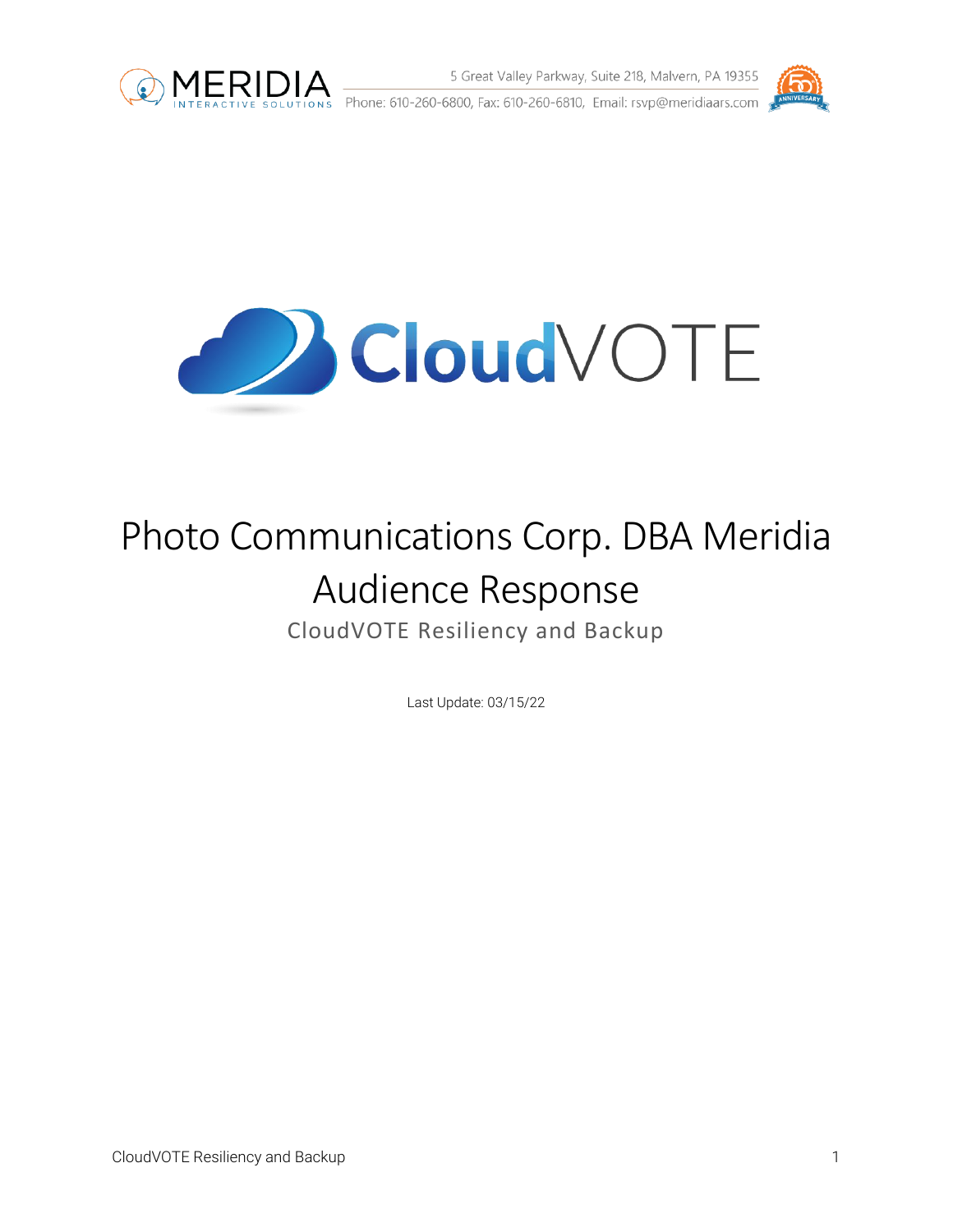

5 Great Valley Parkway, Suite 218, Malvern, PA 19355 **MERIDIA** 5 Great Valley Parkway, Suite 218, Malvern, PA 19355<br>
INTERACTIVE SOLUTIONS Phone: 610-260-6800, Fax: 610-260-6810, Email: rsvp@meridiaars.com



**Cloud** VOTE

# Photo Communications Corp. DBA Meridia Audience Response CloudVOTE Resiliency and Backup

Last Update: 03/15/22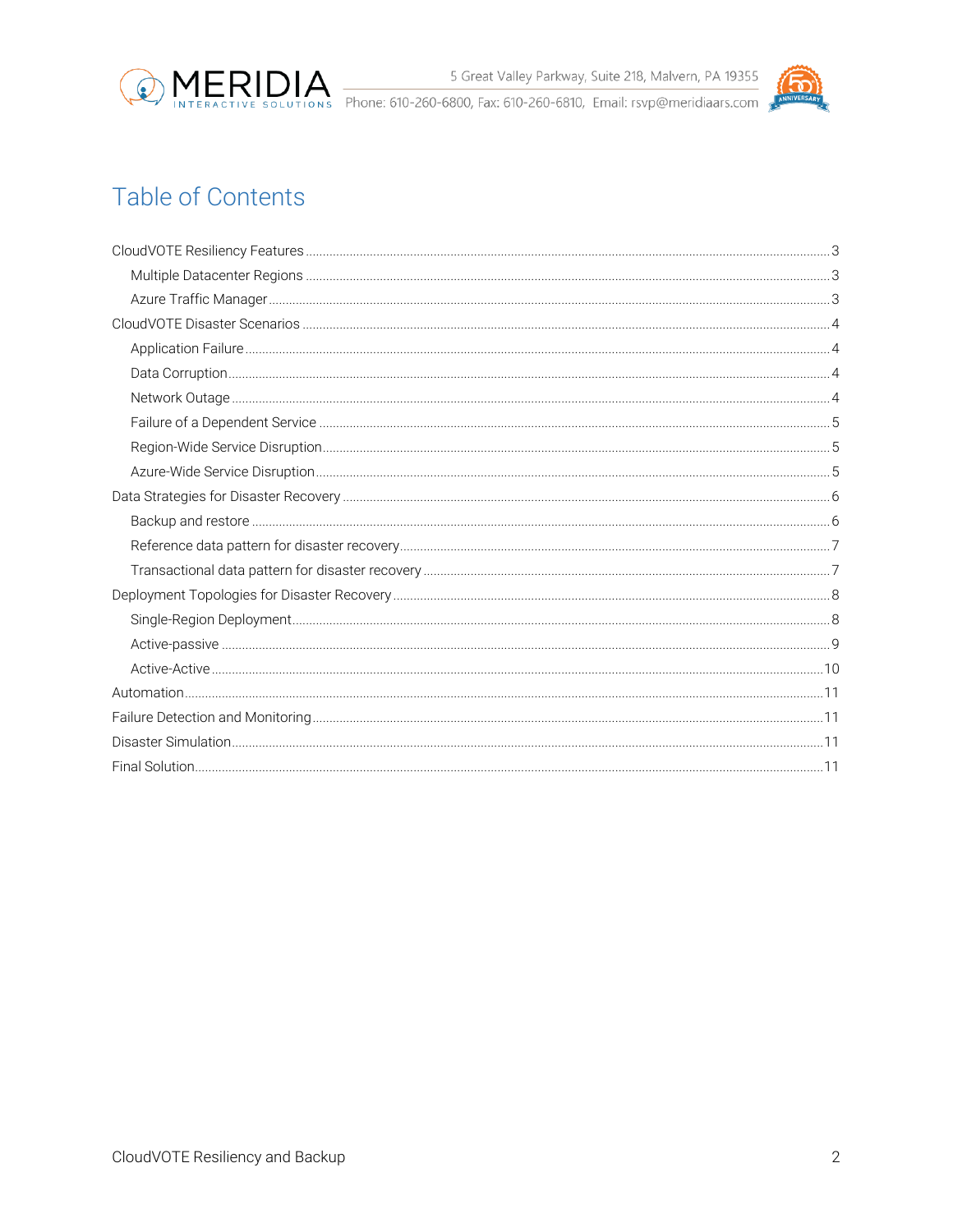

# **Table of Contents**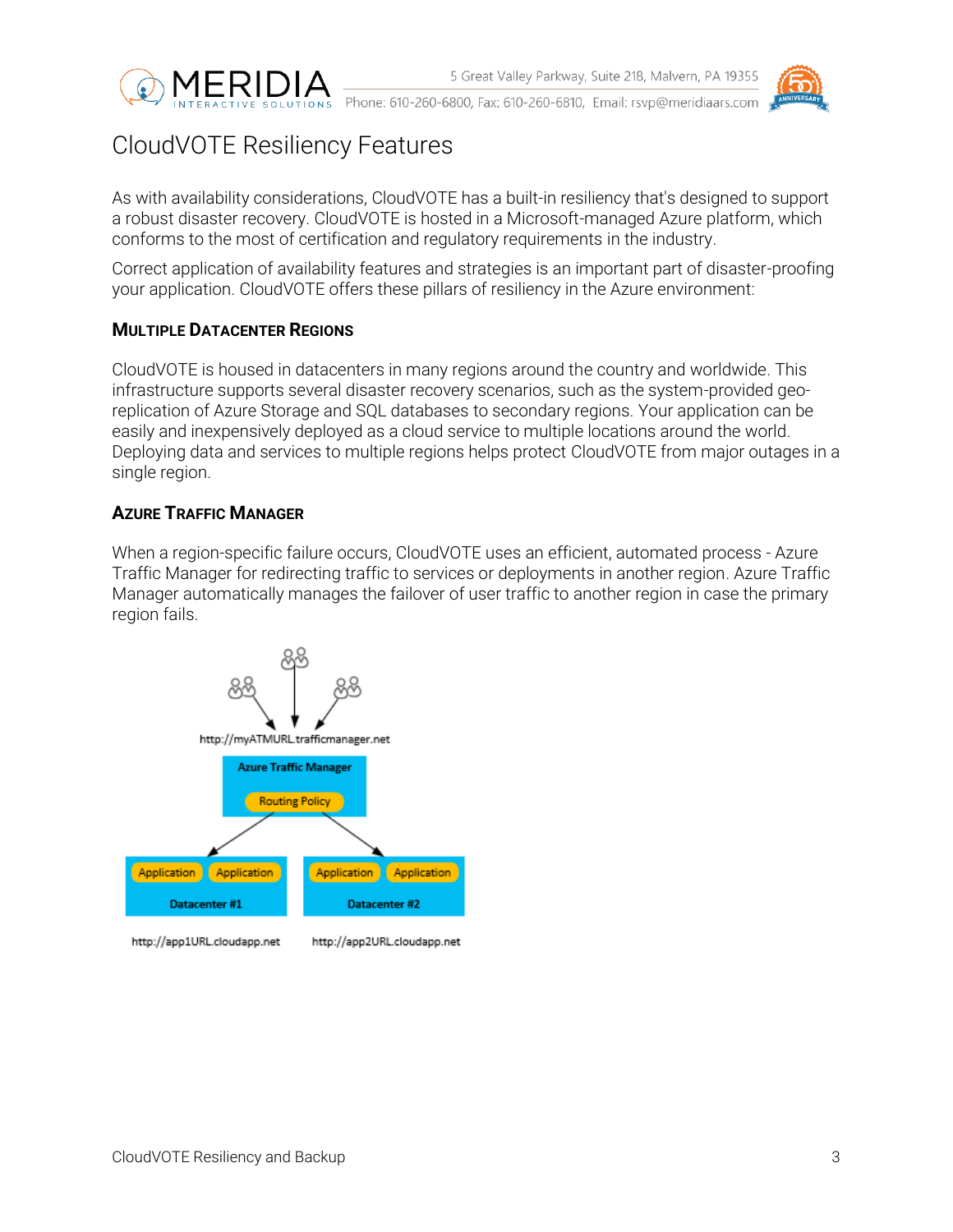



# <span id="page-2-0"></span>CloudVOTE Resiliency Features

As with availability considerations, CloudVOTE has a built-in resiliency that's designed to support a robust disaster recovery. CloudVOTE is hosted in a Microsoft-managed Azure platform, which conforms to the most of certification and regulatory requirements in the industry.

Correct application of availability features and strategies is an important part of disaster-proofing your application. CloudVOTE offers these pillars of resiliency in the Azure environment:

### <span id="page-2-1"></span>**MULTIPLE DATACENTER REGIONS**

CloudVOTE is housed in datacenters in many regions around the country and worldwide. This infrastructure supports several disaster recovery scenarios, such as the system-provided georeplication of Azure Storage and SQL databases to secondary regions. Your application can be easily and inexpensively deployed as a cloud service to multiple locations around the world. Deploying data and services to multiple regions helps protect CloudVOTE from major outages in a single region.

### <span id="page-2-2"></span>**AZURE TRAFFIC MANAGER**

When a region-specific failure occurs, CloudVOTE uses an efficient, automated process - Azure Traffic Manager for redirecting traffic to services or deployments in another region. Azure Traffic Manager automatically manages the failover of user traffic to another region in case the primary region fails.

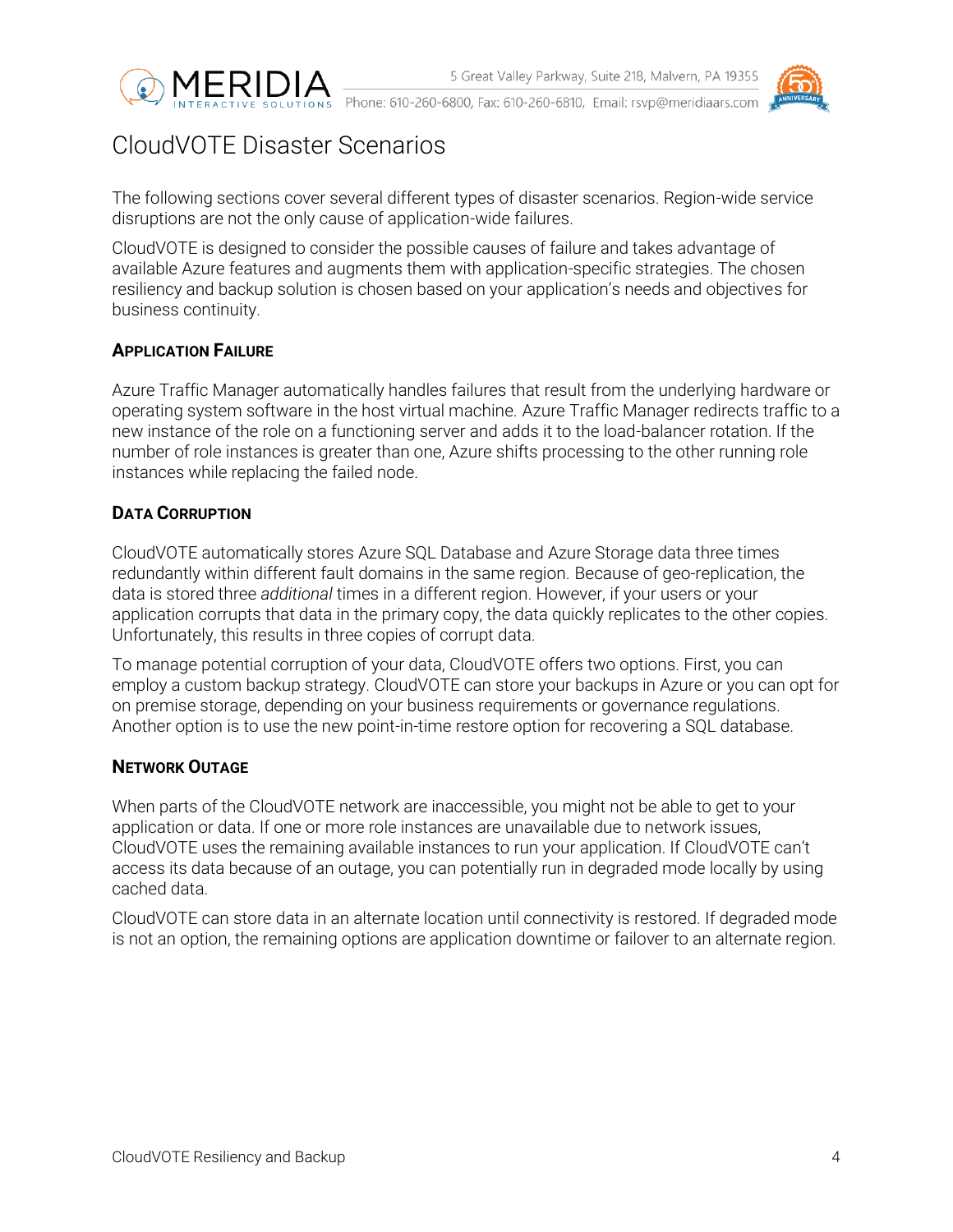



# <span id="page-3-0"></span>CloudVOTE Disaster Scenarios

The following sections cover several different types of disaster scenarios. Region-wide service disruptions are not the only cause of application-wide failures.

CloudVOTE is designed to consider the possible causes of failure and takes advantage of available Azure features and augments them with application-specific strategies. The chosen resiliency and backup solution is chosen based on your application's needs and objectives for business continuity.

### <span id="page-3-1"></span>**APPLICATION FAILURE**

Azure Traffic Manager automatically handles failures that result from the underlying hardware or operating system software in the host virtual machine. Azure Traffic Manager redirects traffic to a new instance of the role on a functioning server and adds it to the load-balancer rotation. If the number of role instances is greater than one, Azure shifts processing to the other running role instances while replacing the failed node.

### <span id="page-3-2"></span>**DATA CORRUPTION**

CloudVOTE automatically stores Azure SQL Database and Azure Storage data three times redundantly within different fault domains in the same region. Because of geo-replication, the data is stored three *additional* times in a different region. However, if your users or your application corrupts that data in the primary copy, the data quickly replicates to the other copies. Unfortunately, this results in three copies of corrupt data.

To manage potential corruption of your data, CloudVOTE offers two options. First, you can employ a custom backup strategy. CloudVOTE can store your backups in Azure or you can opt for on premise storage, depending on your business requirements or governance regulations. Another option is to use the new point-in-time restore option for recovering a SQL database.

#### <span id="page-3-3"></span>**NETWORK OUTAGE**

When parts of the CloudVOTE network are inaccessible, you might not be able to get to your application or data. If one or more role instances are unavailable due to network issues, CloudVOTE uses the remaining available instances to run your application. If CloudVOTE can't access its data because of an outage, you can potentially run in degraded mode locally by using cached data.

CloudVOTE can store data in an alternate location until connectivity is restored. If degraded mode is not an option, the remaining options are application downtime or failover to an alternate region.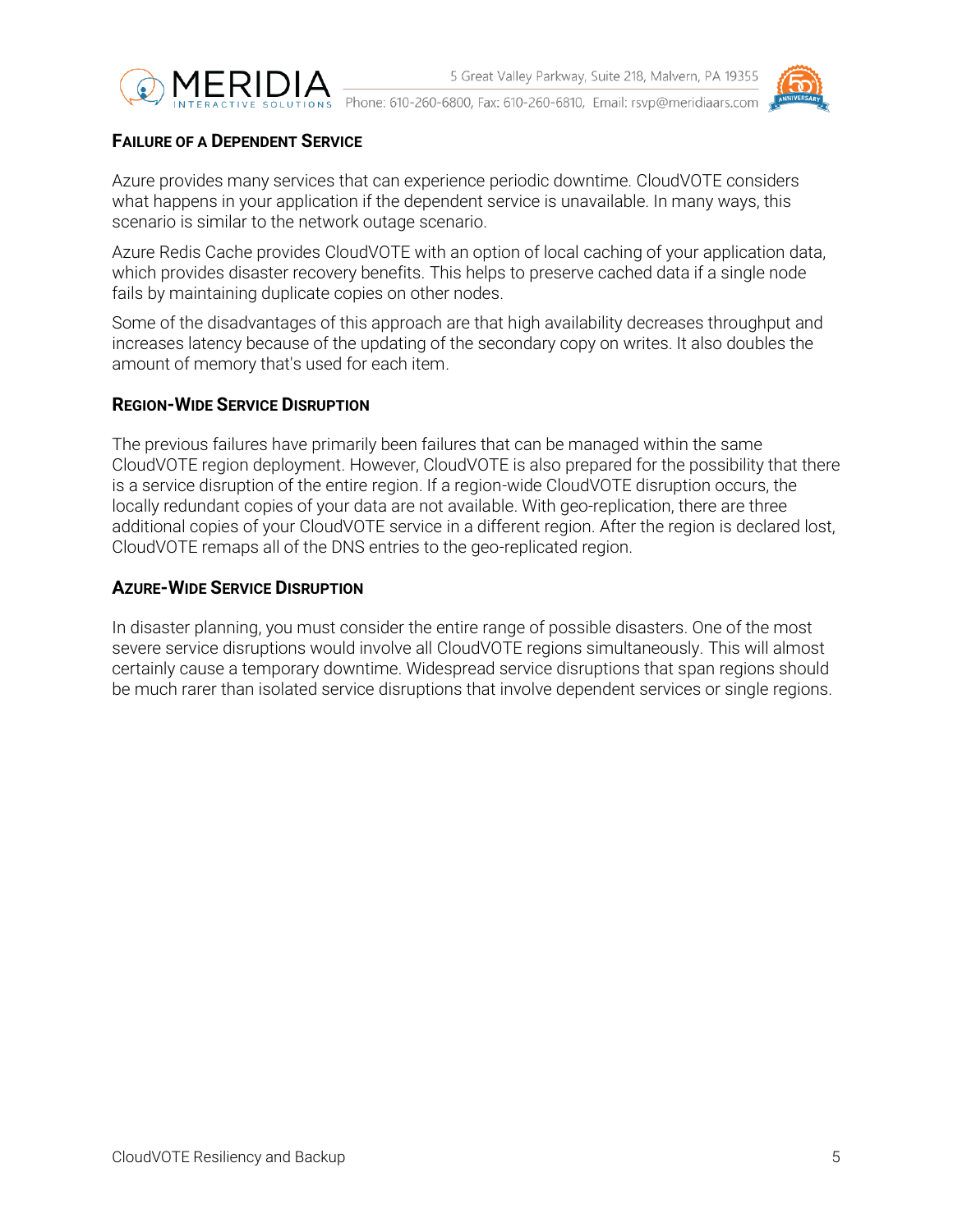



### <span id="page-4-0"></span>**FAILURE OF A DEPENDENT SERVICE**

Azure provides many services that can experience periodic downtime. CloudVOTE considers what happens in your application if the dependent service is unavailable. In many ways, this scenario is similar to the network outage scenario.

Azure Redis Cache provides CloudVOTE with an option of local caching of your application data, which provides disaster recovery benefits. This helps to preserve cached data if a single node fails by maintaining duplicate copies on other nodes.

Some of the disadvantages of this approach are that high availability decreases throughput and increases latency because of the updating of the secondary copy on writes. It also doubles the amount of memory that's used for each item.

### <span id="page-4-1"></span>**REGION-WIDE SERVICE DISRUPTION**

The previous failures have primarily been failures that can be managed within the same CloudVOTE region deployment. However, CloudVOTE is also prepared for the possibility that there is a service disruption of the entire region. If a region-wide CloudVOTE disruption occurs, the locally redundant copies of your data are not available. With geo-replication, there are three additional copies of your CloudVOTE service in a different region. After the region is declared lost, CloudVOTE remaps all of the DNS entries to the geo-replicated region.

### <span id="page-4-2"></span>**AZURE-WIDE SERVICE DISRUPTION**

In disaster planning, you must consider the entire range of possible disasters. One of the most severe service disruptions would involve all CloudVOTE regions simultaneously. This will almost certainly cause a temporary downtime. Widespread service disruptions that span regions should be much rarer than isolated service disruptions that involve dependent services or single regions.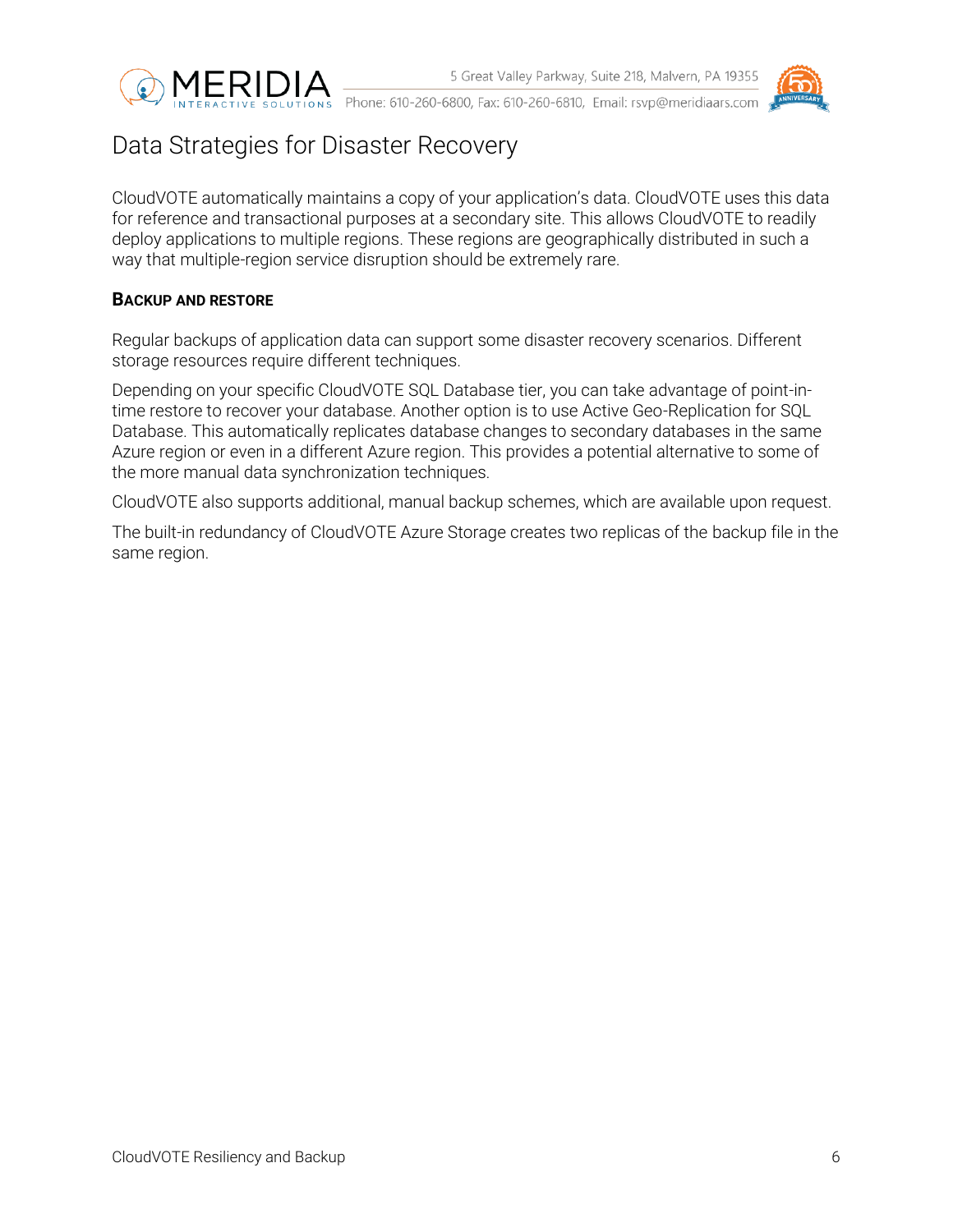



# <span id="page-5-0"></span>Data Strategies for Disaster Recovery

CloudVOTE automatically maintains a copy of your application's data. CloudVOTE uses this data for reference and transactional purposes at a secondary site. This allows CloudVOTE to readily deploy applications to multiple regions. These regions are geographically distributed in such a way that multiple-region service disruption should be extremely rare.

### <span id="page-5-1"></span>**BACKUP AND RESTORE**

Regular backups of application data can support some disaster recovery scenarios. Different storage resources require different techniques.

Depending on your specific CloudVOTE SQL Database tier, you can take advantage of point-intime restore to recover your database. Another option is to use Active Geo-Replication for SQL Database. This automatically replicates database changes to secondary databases in the same Azure region or even in a different Azure region. This provides a potential alternative to some of the more manual data synchronization techniques.

CloudVOTE also supports additional, manual backup schemes, which are available upon request.

The built-in redundancy of CloudVOTE Azure Storage creates two replicas of the backup file in the same region.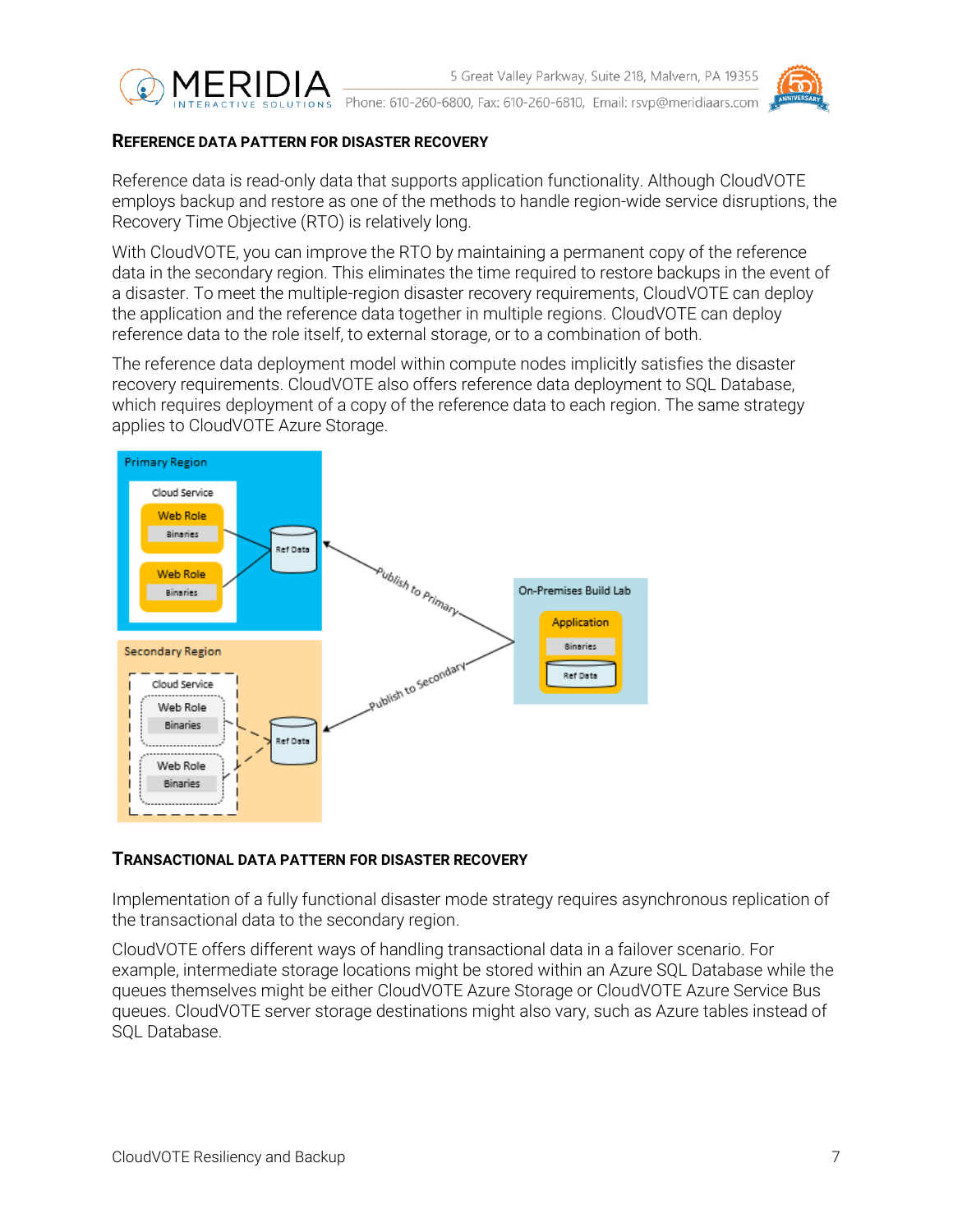



#### <span id="page-6-0"></span>**REFERENCE DATA PATTERN FOR DISASTER RECOVERY**

Reference data is read-only data that supports application functionality. Although CloudVOTE employs backup and restore as one of the methods to handle region-wide service disruptions, the Recovery Time Objective (RTO) is relatively long.

With CloudVOTE, you can improve the RTO by maintaining a permanent copy of the reference data in the secondary region. This eliminates the time required to restore backups in the event of a disaster. To meet the multiple-region disaster recovery requirements, CloudVOTE can deploy the application and the reference data together in multiple regions. CloudVOTE can deploy reference data to the role itself, to external storage, or to a combination of both.

The reference data deployment model within compute nodes implicitly satisfies the disaster recovery requirements. CloudVOTE also offers reference data deployment to SQL Database, which requires deployment of a copy of the reference data to each region. The same strategy applies to CloudVOTE Azure Storage.



#### <span id="page-6-1"></span>**TRANSACTIONAL DATA PATTERN FOR DISASTER RECOVERY**

Implementation of a fully functional disaster mode strategy requires asynchronous replication of the transactional data to the secondary region.

CloudVOTE offers different ways of handling transactional data in a failover scenario. For example, intermediate storage locations might be stored within an Azure SQL Database while the queues themselves might be either CloudVOTE Azure Storage or CloudVOTE Azure Service Bus queues. CloudVOTE server storage destinations might also vary, such as Azure tables instead of SQL Database.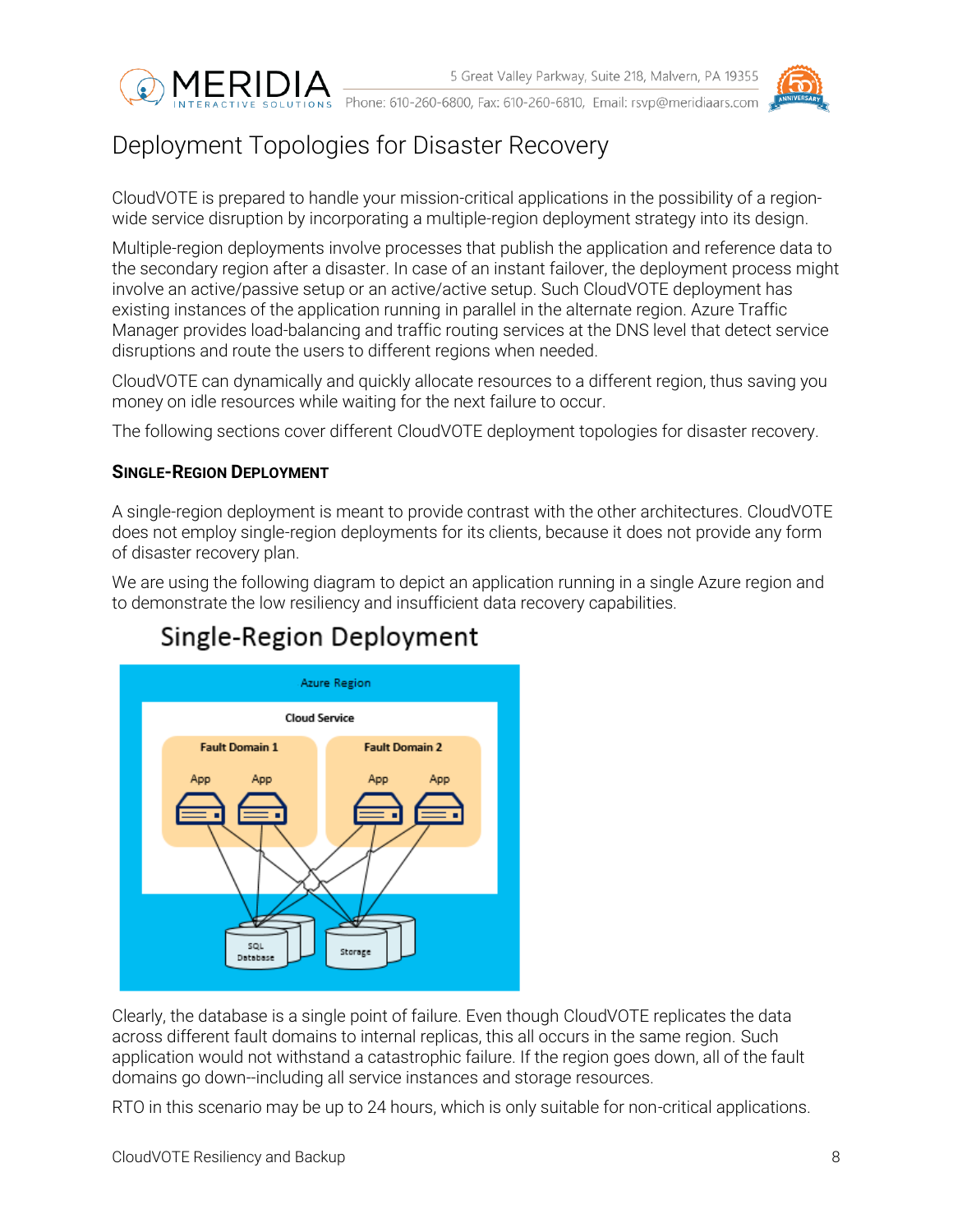



# <span id="page-7-0"></span>Deployment Topologies for Disaster Recovery

CloudVOTE is prepared to handle your mission-critical applications in the possibility of a regionwide service disruption by incorporating a multiple-region deployment strategy into its design.

Multiple-region deployments involve processes that publish the application and reference data to the secondary region after a disaster. In case of an instant failover, the deployment process might involve an active/passive setup or an active/active setup. Such CloudVOTE deployment has existing instances of the application running in parallel in the alternate region. Azure Traffic Manager provides load-balancing and traffic routing services at the DNS level that detect service disruptions and route the users to different regions when needed.

CloudVOTE can dynamically and quickly allocate resources to a different region, thus saving you money on idle resources while waiting for the next failure to occur.

The following sections cover different CloudVOTE deployment topologies for disaster recovery.

#### <span id="page-7-1"></span>**SINGLE-REGION DEPLOYMENT**

A single-region deployment is meant to provide contrast with the other architectures. CloudVOTE does not employ single-region deployments for its clients, because it does not provide any form of disaster recovery plan.

We are using the following diagram to depict an application running in a single Azure region and to demonstrate the low resiliency and insufficient data recovery capabilities.



# Single-Region Deployment

Clearly, the database is a single point of failure. Even though CloudVOTE replicates the data across different fault domains to internal replicas, this all occurs in the same region. Such application would not withstand a catastrophic failure. If the region goes down, all of the fault domains go down--including all service instances and storage resources.

RTO in this scenario may be up to 24 hours, which is only suitable for non-critical applications.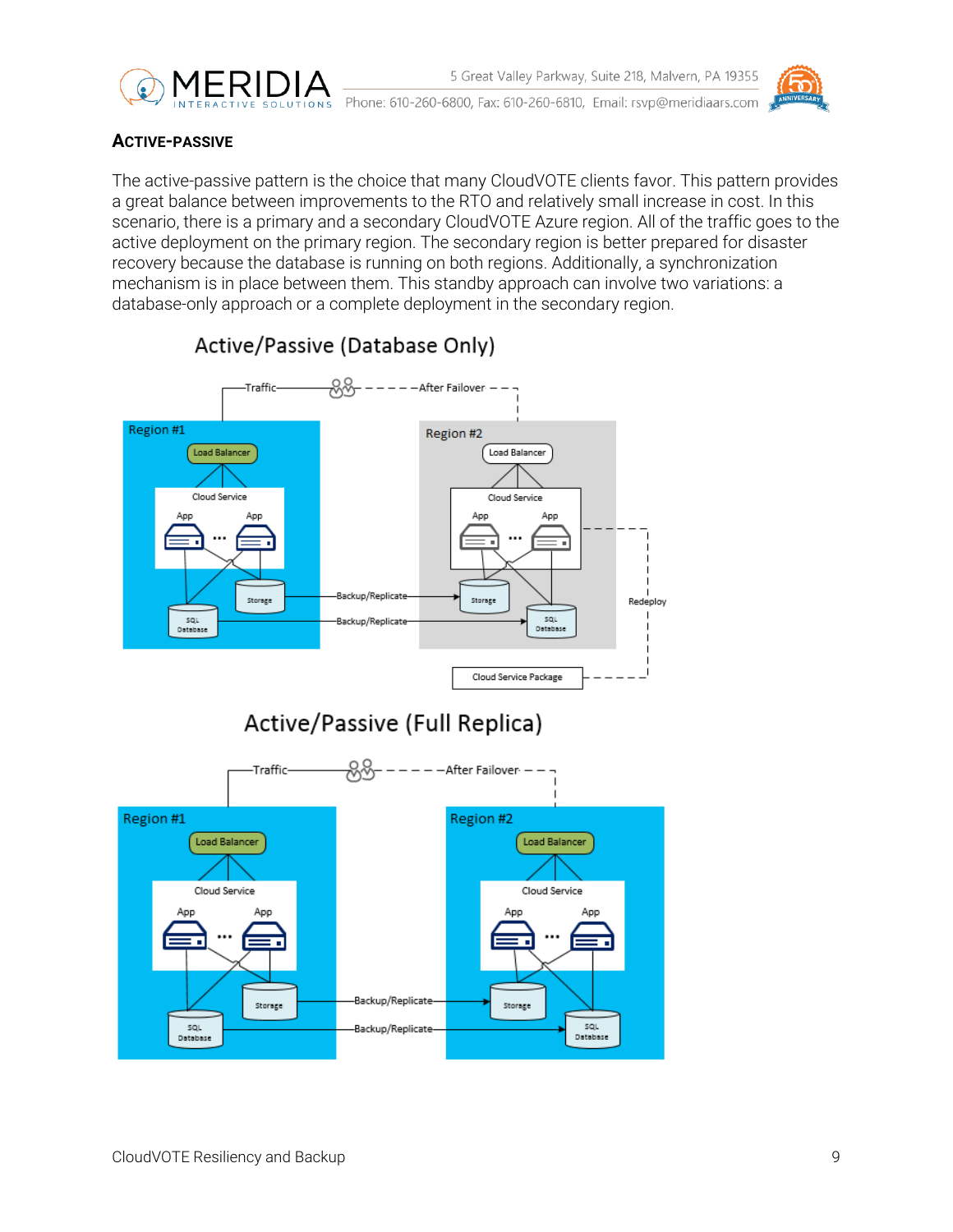



### <span id="page-8-0"></span>**ACTIVE-PASSIVE**

The active-passive pattern is the choice that many CloudVOTE clients favor. This pattern provides a great balance between improvements to the RTO and relatively small increase in cost. In this scenario, there is a primary and a secondary CloudVOTE Azure region. All of the traffic goes to the active deployment on the primary region. The secondary region is better prepared for disaster recovery because the database is running on both regions. Additionally, a synchronization mechanism is in place between them. This standby approach can involve two variations: a database-only approach or a complete deployment in the secondary region.



### Active/Passive (Database Only)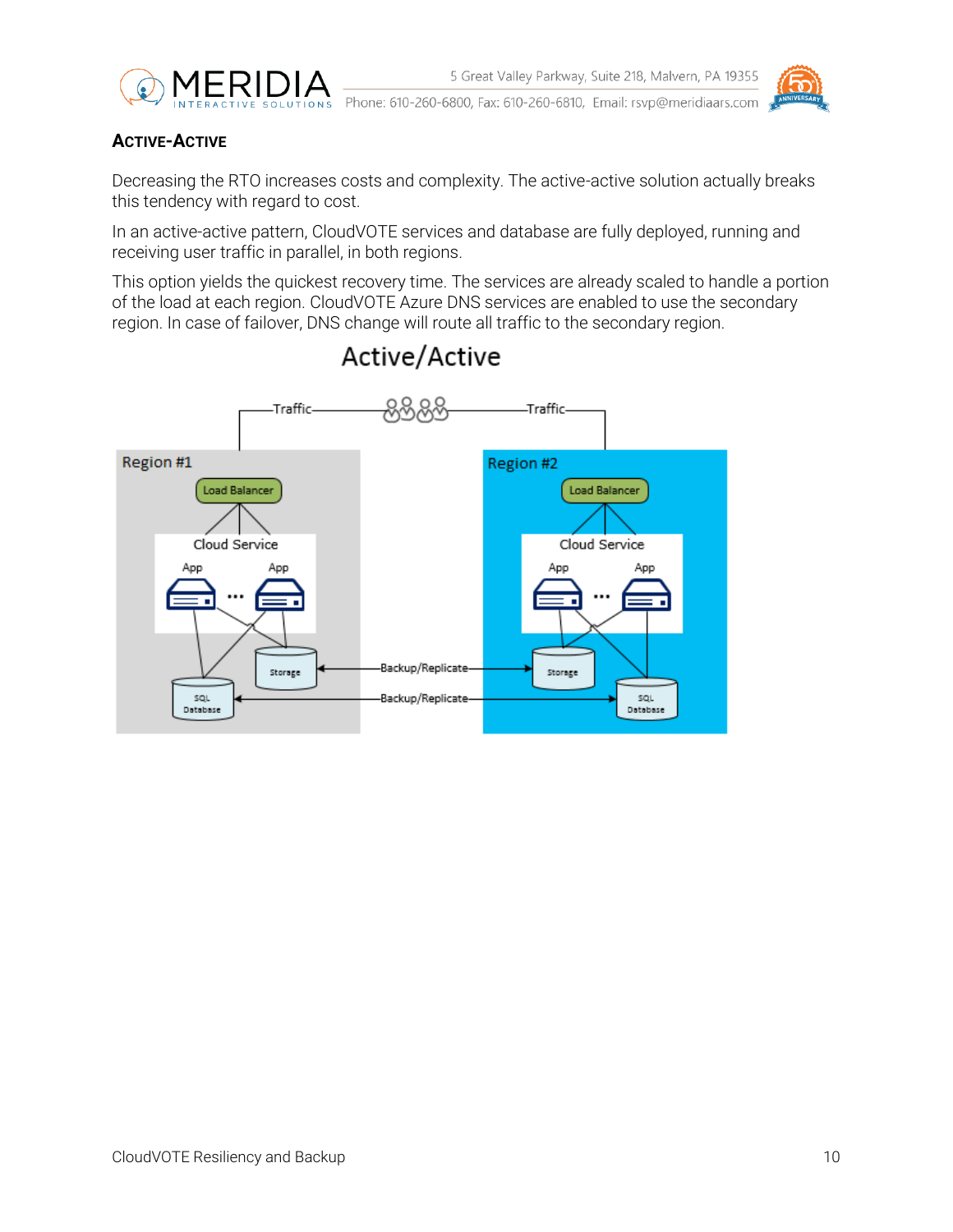

### <span id="page-9-0"></span>**ACTIVE-ACTIVE**

Decreasing the RTO increases costs and complexity. The active-active solution actually breaks this tendency with regard to cost.

In an active-active pattern, CloudVOTE services and database are fully deployed, running and receiving user traffic in parallel, in both regions.

This option yields the quickest recovery time. The services are already scaled to handle a portion of the load at each region. CloudVOTE Azure DNS services are enabled to use the secondary region. In case of failover, DNS change will route all traffic to the secondary region.



# Active/Active